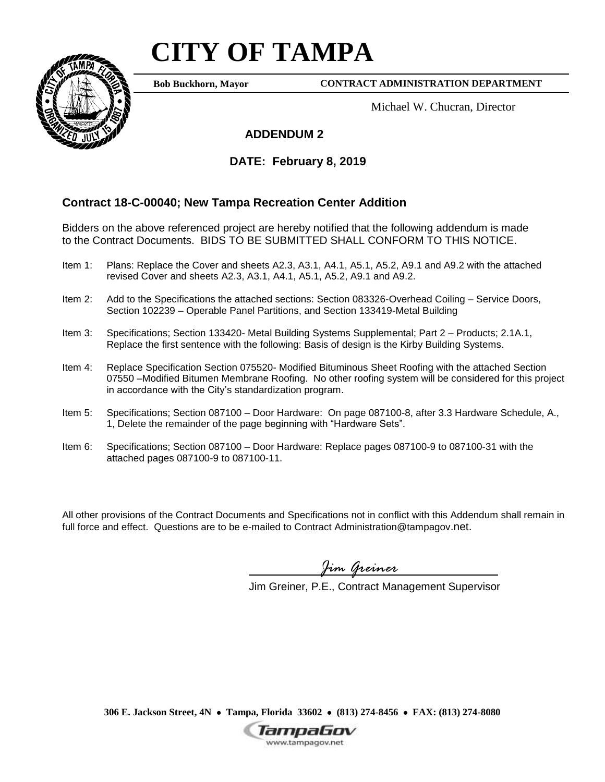## **CITY OF TAMPA**



**Bob Buckhorn, Mayor**

**CONTRACT ADMINISTRATION DEPARTMENT**

Michael W. Chucran, Director

## **ADDENDUM 2**

## **DATE: February 8, 2019**

## **Contract 18-C-00040; New Tampa Recreation Center Addition**

Bidders on the above referenced project are hereby notified that the following addendum is made to the Contract Documents. BIDS TO BE SUBMITTED SHALL CONFORM TO THIS NOTICE.

- Item 1: Plans: Replace the Cover and sheets A2.3, A3.1, A4.1, A5.1, A5.2, A9.1 and A9.2 with the attached revised Cover and sheets A2.3, A3.1, A4.1, A5.1, A5.2, A9.1 and A9.2.
- Item 2: Add to the Specifications the attached sections: Section 083326-Overhead Coiling Service Doors, Section 102239 – Operable Panel Partitions, and Section 133419-Metal Building
- Item 3: Specifications; Section 133420- Metal Building Systems Supplemental; Part 2 Products; 2.1A.1, Replace the first sentence with the following: Basis of design is the Kirby Building Systems.
- Item 4: Replace Specification Section 075520- Modified Bituminous Sheet Roofing with the attached Section 07550 –Modified Bitumen Membrane Roofing. No other roofing system will be considered for this project in accordance with the City's standardization program.
- Item 5: Specifications; Section 087100 Door Hardware: On page 087100-8, after 3.3 Hardware Schedule, A., 1, Delete the remainder of the page beginning with "Hardware Sets".
- Item 6: Specifications; Section 087100 Door Hardware: Replace pages 087100-9 to 087100-31 with the attached pages 087100-9 to 087100-11.

All other provisions of the Contract Documents and Specifications not in conflict with this Addendum shall remain in full force and effect. Questions are to be e-mailed to Contract Administration@tampagov.net.

*Jim Greiner*

Jim Greiner, P.E., Contract Management Supervisor

**306 E. Jackson Street, 4N Tampa, Florida 33602 (813) 274-8456 FAX: (813) 274-8080**

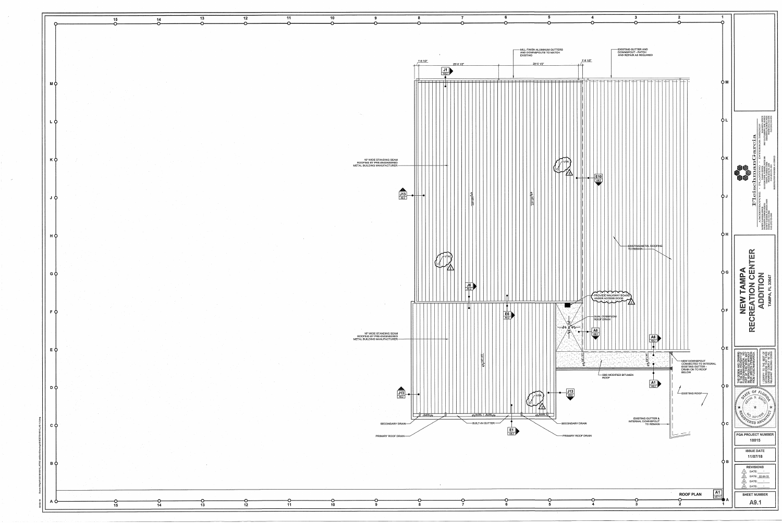